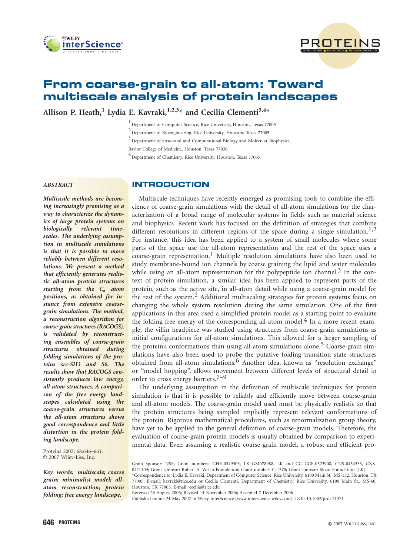



# From coarse-grain to all-atom: Toward multiscale analysis of protein landscapes

Allison P. Heath,<sup>1</sup> Lydia E. Kavraki,<sup>1,2,3</sup>\* and Cecilia Clementi<sup>3,4\*</sup>

1 Department of Computer Science, Rice University, Houston, Texas 77005

2 Department of Bioengineering, Rice University, Houston, Texas 77005

<sup>3</sup> Department of Structural and Computational Biology and Molecular Biophysics,

Baylor College of Medicine, Houston, Texas 77030

4 Department of Chemistry, Rice University, Houston, Texas 77005

## **ABSTRACT**

Multiscale methods are becoming increasingly promising as a way to characterize the dynamics of large protein systems on biologically relevant timescales. The underlying assumption in multiscale simulations is that it is possible to move reliably between different resolutions. We present a method that efficiently generates realistic all-atom protein structures starting from the  $C_n$  atom positions, as obtained for instance from extensive coarsegrain simulations. The method, a reconstruction algorithm for coarse-grain structures (RACOGS), is validated by reconstructing ensembles of coarse-grain structures obtained during folding simulations of the proteins src-SH3 and S6. The results show that RACOGS consistently produces low energy, all-atom structures. A comparison of the free energy landscapes calculated using the coarse-grain structures versus the all-atom structures shows good correspondence and little distortion in the protein folding landscape.

Proteins 2007; 68:646–661. © 2007 Wiley-Liss, Inc.

Key words: multiscale; coarse grain; minimalist model; allatom reconstruction; protein folding; free energy landscape.

# **INTRODUCTION**

Multiscale techniques have recently emerged as promising tools to combine the efficiency of coarse-grain simulations with the detail of all-atom simulations for the characterization of a broad range of molecular systems in fields such as material science and biophysics. Recent work has focused on the definition of strategies that combine different resolutions in different regions of the space during a single simulation.<sup>1,2</sup> For instance, this idea has been applied to a system of small molecules where some parts of the space use the all-atom representation and the rest of the space uses a  $\alpha$ coarse-grain representation.<sup>1</sup> Multiple resolution simulations have also been used to study membrane-bound ion channels by coarse graining the lipid and water molecules while using an all-atom representation for the polypeptide ion channel.<sup>3</sup> In the context of protein simulation, a similar idea has been applied to represent parts of the protein, such as the active site, in all-atom detail while using a coarse-grain model for the rest of the system.<sup>2</sup> Additional multiscaling strategies for protein systems focus on changing the whole system resolution during the same simulation. One of the first applications in this area used a simplified protein model as a starting point to evaluate the folding free energy of the corresponding all-atom model.<sup>4</sup> In a more recent example, the villin headpiece was studied using structures from coarse-grain simulations as initial configurations for all-atom simulations. This allowed for a larger sampling of the protein's conformations than using all-atom simulations alone.<sup>5</sup> Coarse-grain simulations have also been used to probe the putative folding transition state structures obtained from all-atom simulations.6 Another idea, known as ''resolution exchange'' or ''model hopping'', allows movement between different levels of structural detail in order to cross energy barriers.<sup>7–9</sup>

The underlying assumption in the definition of multiscale techniques for protein simulation is that it is possible to reliably and efficiently move between coarse-grain and all-atom models. The coarse-grain model used must be physically realistic so that the protein structures being sampled implicitly represent relevant conformations of the protein. Rigorous mathematical procedures, such as renormalization group theory, have yet to be applied to the general definition of coarse-grain models. Therefore, the evaluation of coarse-grain protein models is usually obtained by comparison to experimental data. Even assuming a realistic coarse-grain model, a robust and efficient pro-

Published online 21 May 2007 in Wiley InterScience (www.interscience.wiley.com). DOI: 10.1002/prot.21371

Grant sponsor: NSF; Grant numbers: CHE-0349303, LK GM078988, LK and CC CCF-0523908, CNS-0454333, CNS-0421109; Grant sponsor: Robert A. Welch Foundation; Grant number: C-1570; Grant sponsor: Sloan Foundation (LK) \*Correspondence to: Lydia E. Kavraki, Department of Computer Science, Rice University, 6100 Main St., MS-132, Houston, TX 77005, E-mail: kavraki@rice.edu or Cecilia Clementi, Department of Chemistry, Rice University, 6100 Main St., MS-60, Houston, TX 77005. E-mail: cecilia@rice.edu

Received 26 August 2006; Revised 14 November 2006; Accepted 7 December 2006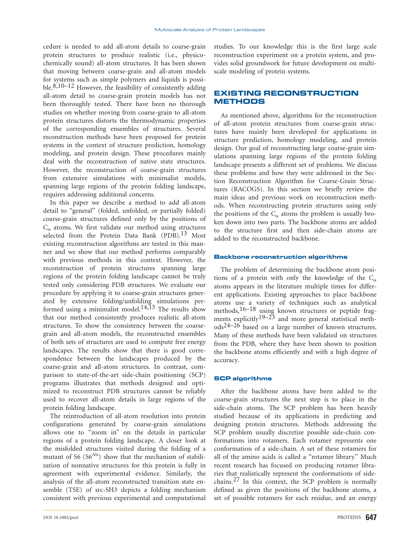cedure is needed to add all-atom details to coarse-grain protein structures to produce realistic (i.e., physicochemically sound) all-atom structures. It has been shown that moving between coarse-grain and all-atom models for systems such as simple polymers and liquids is possible. $8,10-12$  However, the feasibility of consistently adding all-atom detail to coarse-grain protein models has not been thoroughly tested. There have been no thorough studies on whether moving from coarse-grain to all-atom protein structures distorts the thermodynamic properties of the corresponding ensembles of structures. Several reconstruction methods have been proposed for protein systems in the context of structure prediction, homology modeling, and protein design. These procedures mainly deal with the reconstruction of native state structures. However, the reconstruction of coarse-grain structures from extensive simulations with minimalist models, spanning large regions of the protein folding landscape, requires addressing additional concerns.

In this paper we describe a method to add all-atom detail to "general" (folded, unfolded, or partially folded) coarse-grain structures defined only by the positions of  $C_{\alpha}$  atoms. We first validate our method using structures selected from the Protein Data Bank  $(PDB)$ .<sup>13</sup> Most existing reconstruction algorithms are tested in this manner and we show that our method performs comparably with previous methods in this context. However, the reconstruction of protein structures spanning large regions of the protein folding landscape cannot be truly tested only considering PDB structures. We evaluate our procedure by applying it to coarse-grain structures generated by extensive folding/unfolding simulations performed using a minimalist model.<sup>14,15</sup> The results show that our method consistently produces realistic all-atom structures. To show the consistency between the coarsegrain and all-atom models, the reconstructed ensembles of both sets of structures are used to compute free energy landscapes. The results show that there is good correspondence between the landscapes produced by the coarse-grain and all-atom structures. In contrast, comparison to state-of-the-art side-chain positioning (SCP) programs illustrates that methods designed and optimized to reconstruct PDB structures cannot be reliably used to recover all-atom details in large regions of the protein folding landscape.

The reintroduction of all-atom resolution into protein configurations generated by coarse-grain simulations allows one to ''zoom in'' on the details in particular regions of a protein folding landscape. A closer look at the misfolded structures visited during the folding of a mutant of S6  $(S6^{Alz})$  show that the mechanism of stabilization of nonnative structures for this protein is fully in agreement with experimental evidence. Similarly, the analysis of the all-atom reconstructed transition state ensemble (TSE) of src-SH3 depicts a folding mechanism consistent with previous experimental and computational studies. To our knowledge this is the first large scale reconstruction experiment on a protein system, and provides solid groundwork for future development on multiscale modeling of protein systems.

# EXISTING RECONSTRUCTION **METHODS**

As mentioned above, algorithms for the reconstruction of all-atom protein structures from coarse-grain structures have mainly been developed for applications in structure prediction, homology modeling, and protein design. Our goal of reconstructing large coarse-grain simulations spanning large regions of the protein folding landscape presents a different set of problems. We discuss these problems and how they were addressed in the Section Reconstruction Algorithm for Coarse-Grain Structures (RACOGS). In this section we briefly review the main ideas and previous work on reconstruction methods. When reconstructing protein structures using only the positions of the  $C_{\alpha}$  atoms the problem is usually broken down into two parts. The backbone atoms are added to the structure first and then side-chain atoms are added to the reconstructed backbone.

### Backbone reconstruction algorithms

The problem of determining the backbone atom positions of a protein with only the knowledge of the  $C_{\alpha}$ atoms appears in the literature multiple times for different applications. Existing approaches to place backbone atoms use a variety of techniques such as analytical methods,<sup>16–18</sup> using known structures or peptide fragments explicitly<sup>19–23</sup> and more general statistical methods24–26 based on a large number of known structures. Many of these methods have been validated on structures from the PDB, where they have been shown to position the backbone atoms efficiently and with a high degree of accuracy.

## SCP algorithms

After the backbone atoms have been added to the coarse-grain structures the next step is to place in the side-chain atoms. The SCP problem has been heavily studied because of its applications in predicting and designing protein structures. Methods addressing the SCP problem usually discretize possible side-chain conformations into rotamers. Each rotamer represents one conformation of a side-chain. A set of these rotamers for all of the amino acids is called a ''rotamer library.'' Much recent research has focused on producing rotamer libraries that realistically represent the conformations of sidechains. $27$  In this context, the SCP problem is normally defined as given the positions of the backbone atoms, a set of possible rotamers for each residue, and an energy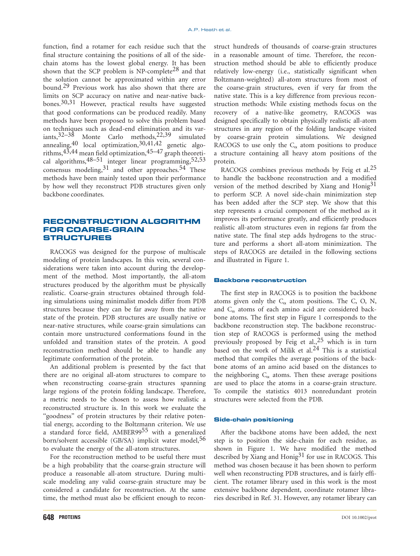function, find a rotamer for each residue such that the final structure containing the positions of all of the sidechain atoms has the lowest global energy. It has been shown that the SCP problem is NP-complete28 and that the solution cannot be approximated within any error bound.<sup>29</sup> Previous work has also shown that there are limits on SCP accuracy on native and near-native backbones.30,31 However, practical results have suggested that good conformations can be produced readily. Many methods have been proposed to solve this problem based on techniques such as dead-end elimination and its variants,32–38 Monte Carlo methods,22,39 simulated annealing, 40 local optimization, 30, 41, 42 genetic algorithms,43,44 mean field optimization,45–47 graph theoretical algorithms,  $48-51$  integer linear programming,  $52,53$ consensus modeling,  $31$  and other approaches.  $54$  These methods have been mainly tested upon their performance by how well they reconstruct PDB structures given only backbone coordinates.

# RECONSTRUCTION ALGORITHM FOR COARSE-GRAIN **STRUCTURES**

RACOGS was designed for the purpose of multiscale modeling of protein landscapes. In this vein, several considerations were taken into account during the development of the method. Most importantly, the all-atom structures produced by the algorithm must be physically realistic. Coarse-grain structures obtained through folding simulations using minimalist models differ from PDB structures because they can be far away from the native state of the protein. PDB structures are usually native or near-native structures, while coarse-grain simulations can contain more unstructured conformations found in the unfolded and transition states of the protein. A good reconstruction method should be able to handle any legitimate conformation of the protein.

An additional problem is presented by the fact that there are no original all-atom structures to compare to when reconstructing coarse-grain structures spanning large regions of the protein folding landscape. Therefore, a metric needs to be chosen to assess how realistic a reconstructed structure is. In this work we evaluate the "goodness" of protein structures by their relative potential energy, according to the Boltzmann criterion. We use a standard force field, AMBER99<sup>55</sup> with a generalized born/solvent accessible (GB/SA) implicit water model,<sup>56</sup> to evaluate the energy of the all-atom structures.

For the reconstruction method to be useful there must be a high probability that the coarse-grain structure will produce a reasonable all-atom structure. During multiscale modeling any valid coarse-grain structure may be considered a candidate for reconstruction. At the same time, the method must also be efficient enough to reconstruct hundreds of thousands of coarse-grain structures in a reasonable amount of time. Therefore, the reconstruction method should be able to efficiently produce relatively low-energy (i.e., statistically significant when Boltzmann-weighted) all-atom structures from most of the coarse-grain structures, even if very far from the native state. This is a key difference from previous reconstruction methods: While existing methods focus on the recovery of a native-like geometry, RACOGS was designed specifically to obtain physically realistic all-atom structures in any region of the folding landscape visited by coarse-grain protein simulations. We designed RACOGS to use only the  $C_{\alpha}$  atom positions to produce a structure containing all heavy atom positions of the protein.

RACOGS combines previous methods by Feig et al.<sup>25</sup> to handle the backbone reconstruction and a modified version of the method described by Xiang and Honig<sup>31</sup> to perform SCP. A novel side-chain minimization step has been added after the SCP step. We show that this step represents a crucial component of the method as it improves its performance greatly, and efficiently produces realistic all-atom structures even in regions far from the native state. The final step adds hydrogens to the structure and performs a short all-atom minimization. The steps of RACOGS are detailed in the following sections and illustrated in Figure 1.

#### Backbone reconstruction

The first step in RACOGS is to position the backbone atoms given only the  $C_{\alpha}$  atom positions. The C, O, N, and  $C_{\alpha}$  atoms of each amino acid are considered backbone atoms. The first step in Figure 1 corresponds to the backbone reconstruction step. The backbone reconstruction step of RACOGS is performed using the method previously proposed by Feig et al.,<sup>25</sup> which is in turn based on the work of Milik et al.24 This is a statistical method that compiles the average positions of the backbone atoms of an amino acid based on the distances to the neighboring  $C_{\alpha}$  atoms. Then these average positions are used to place the atoms in a coarse-grain structure. To compile the statistics 4013 nonredundant protein structures were selected from the PDB.

#### Side-chain positioning

After the backbone atoms have been added, the next step is to position the side-chain for each residue, as shown in Figure 1. We have modified the method described by Xiang and  $\text{Honi}^3$  for use in RACOGS. This method was chosen because it has been shown to perform well when reconstructing PDB structures, and is fairly efficient. The rotamer library used in this work is the most extensive backbone dependent, coordinate rotamer libraries described in Ref. 31. However, any rotamer library can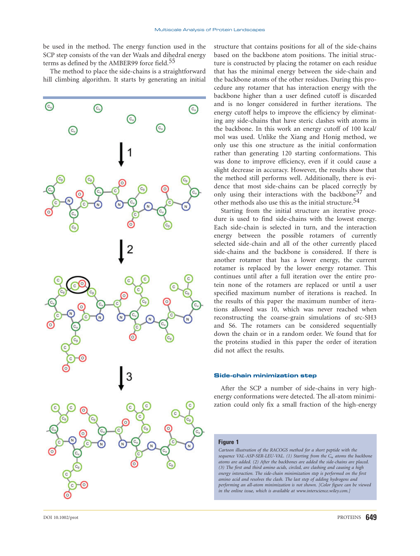be used in the method. The energy function used in the SCP step consists of the van der Waals and dihedral energy terms as defined by the AMBER99 force field.<sup>55</sup>

The method to place the side-chains is a straightforward hill climbing algorithm. It starts by generating an initial



structure that contains positions for all of the side-chains based on the backbone atom positions. The initial structure is constructed by placing the rotamer on each residue that has the minimal energy between the side-chain and the backbone atoms of the other residues. During this procedure any rotamer that has interaction energy with the backbone higher than a user defined cutoff is discarded and is no longer considered in further iterations. The energy cutoff helps to improve the efficiency by eliminating any side-chains that have steric clashes with atoms in the backbone. In this work an energy cutoff of 100 kcal/ mol was used. Unlike the Xiang and Honig method, we only use this one structure as the initial conformation rather than generating 120 starting conformations. This was done to improve efficiency, even if it could cause a slight decrease in accuracy. However, the results show that the method still performs well. Additionally, there is evidence that most side-chains can be placed correctly by only using their interactions with the backbone<sup>57</sup> and other methods also use this as the initial structure.<sup>54</sup>

Starting from the initial structure an iterative procedure is used to find side-chains with the lowest energy. Each side-chain is selected in turn, and the interaction energy between the possible rotamers of currently selected side-chain and all of the other currently placed side-chains and the backbone is considered. If there is another rotamer that has a lower energy, the current rotamer is replaced by the lower energy rotamer. This continues until after a full iteration over the entire protein none of the rotamers are replaced or until a user specified maximum number of iterations is reached. In the results of this paper the maximum number of iterations allowed was 10, which was never reached when reconstructing the coarse-grain simulations of src-SH3 and S6. The rotamers can be considered sequentially down the chain or in a random order. We found that for the proteins studied in this paper the order of iteration did not affect the results.

#### Side-chain minimization step

After the SCP a number of side-chains in very highenergy conformations were detected. The all-atom minimization could only fix a small fraction of the high-energy

**Cartoon illustration of the RACOGS method for a short peptide with the** sequence VAL-ASP-SER-LEU-VAL. (1) Starting from the  $C_{\alpha}$  atoms the backbone atoms are added. (2) After the backbones are added the side-chains are placed. (3) The first and third amino acids, circled, are clashing and causing a high energy interaction. The side-chain minimization step is performed on the first amino acid and resolves the clash. The last step of adding hydrogens and performing an all-atom minimization is not shown. [Color figure can be viewed in the online issue, which is available at www.interscience.wiley.com.]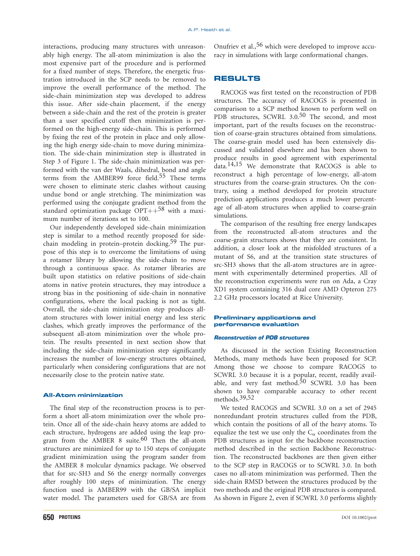interactions, producing many structures with unreasonably high energy. The all-atom minimization is also the most expensive part of the procedure and is performed for a fixed number of steps. Therefore, the energetic frustration introduced in the SCP needs to be removed to improve the overall performance of the method. The side-chain minimization step was developed to address this issue. After side-chain placement, if the energy between a side-chain and the rest of the protein is greater than a user specified cutoff then minimization is performed on the high-energy side-chain. This is performed by fixing the rest of the protein in place and only allowing the high energy side-chain to move during minimization. The side-chain minimization step is illustrated in Step 3 of Figure 1. The side-chain minimization was performed with the van der Waals, dihedral, bond and angle terms from the AMBER99 force field.<sup>55</sup> These terms were chosen to eliminate steric clashes without causing undue bond or angle stretching. The minimization was performed using the conjugate gradient method from the standard optimization package  $OPT++^{58}$  with a maximum number of iterations set to 100.

Our independently developed side-chain minimization step is similar to a method recently proposed for sidechain modeling in protein–protein docking.59 The purpose of this step is to overcome the limitations of using a rotamer library by allowing the side-chain to move through a continuous space. As rotamer libraries are built upon statistics on relative positions of side-chain atoms in native protein structures, they may introduce a strong bias in the positioning of side-chain in nonnative configurations, where the local packing is not as tight. Overall, the side-chain minimization step produces allatom structures with lower initial energy and less steric clashes, which greatly improves the performance of the subsequent all-atom minimization over the whole protein. The results presented in next section show that including the side-chain minimization step significantly increases the number of low-energy structures obtained, particularly when considering configurations that are not necessarily close to the protein native state.

# All-Atom minimization

The final step of the reconstruction process is to perform a short all-atom minimization over the whole protein. Once all of the side-chain heavy atoms are added to each structure, hydrogens are added using the leap program from the AMBER 8 suite.60 Then the all-atom structures are minimized for up to 150 steps of conjugate gradient minimization using the program sander from the AMBER 8 molcular dynamics package. We observed that for src-SH3 and S6 the energy normally converges after roughly 100 steps of minimization. The energy function used is AMBER99 with the GB/SA implicit water model. The parameters used for GB/SA are from

Onufriev et al.,<sup>56</sup> which were developed to improve accuracy in simulations with large conformational changes.

# RESULTS

RACOGS was first tested on the reconstruction of PDB structures. The accuracy of RACOGS is presented in comparison to a SCP method known to perform well on PDB structures, SCWRL 3.0.<sup>50</sup> The second, and most important, part of the results focuses on the reconstruction of coarse-grain structures obtained from simulations. The coarse-grain model used has been extensively discussed and validated elsewhere and has been shown to produce results in good agreement with experimental data.14,15 We demonstrate that RACOGS is able to reconstruct a high percentage of low-energy, all-atom structures from the coarse-grain structures. On the contrary, using a method developed for protein structure prediction applications produces a much lower percentage of all-atom structures when applied to coarse-grain simulations.

The comparison of the resulting free energy landscapes from the reconstructed all-atom structures and the coarse-grain structures shows that they are consistent. In addition, a closer look at the misfolded structures of a mutant of S6, and at the transition state structures of src-SH3 shows that the all-atom structures are in agreement with experimentally determined properties. All of the reconstruction experiments were run on Ada, a Cray XD1 system containing 316 dual core AMD Opteron 275 2.2 GHz processors located at Rice University.

### Preliminary applications and performance evaluation

# Reconstruction of PDB structures

As discussed in the section Existing Reconstruction Methods, many methods have been proposed for SCP. Among those we choose to compare RACOGS to SCWRL 3.0 because it is a popular, recent, readily available, and very fast method.<sup>50</sup> SCWRL 3.0 has been shown to have comparable accuracy to other recent methods.39,52

We tested RACOGS and SCWRL 3.0 on a set of 2945 nonredundant protein structures culled from the PDB, which contain the positions of all of the heavy atoms. To equalize the test we use only the  $C_{\alpha}$  coordinates from the PDB structures as input for the backbone reconstruction method described in the section Backbone Reconstruction. The reconstructed backbones are then given either to the SCP step in RACOGS or to SCWRL 3.0. In both cases no all-atom minimization was performed. Then the side-chain RMSD between the structures produced by the two methods and the original PDB structures is compared. As shown in Figure 2, even if SCWRL 3.0 performs slightly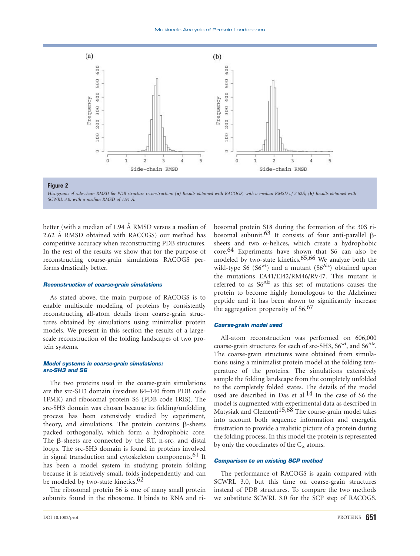

Figure 2 Histograms of side-chain RMSD for PDB structure reconstruction: (a) Results obtained with RACOGS, with a median RMSD of 2.62A˚; (b) Results obtained with SCWRL 3.0, with a median RMSD of 1.94 Å.

better (with a median of 1.94 Å RMSD versus a median of 2.62 Å RMSD obtained with RACOGS) our method has competitive accuracy when reconstructing PDB structures. In the rest of the results we show that for the purpose of reconstructing coarse-grain simulations RACOGS performs drastically better.

#### Reconstruction of coarse-grain simulations

As stated above, the main purpose of RACOGS is to enable multiscale modeling of proteins by consistently reconstructing all-atom details from coarse-grain structures obtained by simulations using minimalist protein models. We present in this section the results of a largescale reconstruction of the folding landscapes of two protein systems.

### Model systems in coarse-grain simulations: src-SH3 and S6

The two proteins used in the coarse-grain simulations are the src-SH3 domain (residues 84–140 from PDB code 1FMK) and ribosomal protein S6 (PDB code 1RIS). The src-SH3 domain was chosen because its folding/unfolding process has been extensively studied by experiment, theory, and simulations. The protein contains  $\beta$ -sheets packed orthogonally, which form a hydrophobic core. The  $\beta$ -sheets are connected by the RT, n-src, and distal loops. The src-SH3 domain is found in proteins involved in signal transduction and cytoskeleton components.<sup>61</sup> It has been a model system in studying protein folding because it is relatively small, folds independently and can be modeled by two-state kinetics.<sup>62</sup>

The ribosomal protein S6 is one of many small protein subunits found in the ribosome. It binds to RNA and ribosomal protein S18 during the formation of the 30S ribosomal subunit.<sup>63</sup> It consists of four anti-parallel  $\beta$ sheets and two  $\alpha$ -helices, which create a hydrophobic core.64 Experiments have shown that S6 can also be modeled by two-state kinetics.65,66 We analyze both the wild-type S6  $(S6<sup>wt</sup>)$  and a mutant  $(S6<sup>Alz</sup>)$  obtained upon the mutations EA41/EI42/RM46/RV47. This mutant is referred to as  $S6<sup>Alz</sup>$  as this set of mutations causes the protein to become highly homologous to the Alzheimer peptide and it has been shown to significantly increase the aggregation propensity of  $S6.67$ 

### Coarse-grain model used

All-atom reconstruction was performed on 606,000 coarse-grain structures for each of  $src-SH3$ ,  $SG<sup>wt</sup>$ , and  $SG<sup>Alz</sup>$ . The coarse-grain structures were obtained from simulations using a minimalist protein model at the folding temperature of the proteins. The simulations extensively sample the folding landscape from the completely unfolded to the completely folded states. The details of the model used are described in Das et al.<sup>14</sup> In the case of S6 the model is augmented with experimental data as described in Matysiak and Clementi<sup>15,68</sup> The coarse-grain model takes into account both sequence information and energetic frustration to provide a realistic picture of a protein during the folding process. In this model the protein is represented by only the coordinates of the  $C_{\alpha}$  atoms.

#### Comparison to an existing SCP method

The performance of RACOGS is again compared with SCWRL 3.0, but this time on coarse-grain structures instead of PDB structures. To compare the two methods we substitute SCWRL 3.0 for the SCP step of RACOGS.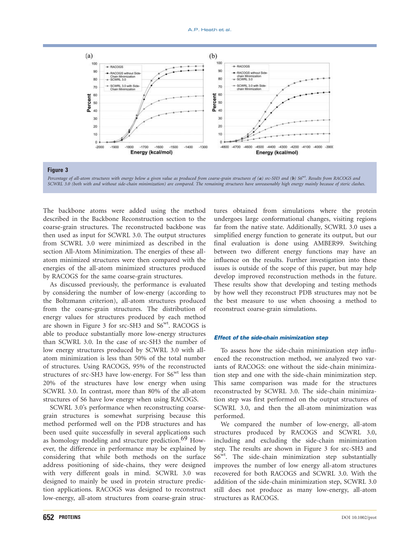

Figure 3 Percentage of all-atom structures with energy below a given value as produced from coarse-grain structures of (a) src-SH3 and (b) S6wt. Results from RACOGS and SCWRL 3.0 (both with and without side-chain minimization) are compared. The remaining structures have unreasonably high energy mainly because of steric clashes.

The backbone atoms were added using the method described in the Backbone Reconstruction section to the coarse-grain structures. The reconstructed backbone was then used as input for SCWRL 3.0. The output structures from SCWRL 3.0 were minimized as described in the section All-Atom Minimization. The energies of these allatom minimized structures were then compared with the energies of the all-atom minimized structures produced by RACOGS for the same coarse-grain structures.

As discussed previously, the performance is evaluated by considering the number of low-energy (according to the Boltzmann criterion), all-atom structures produced from the coarse-grain structures. The distribution of energy values for structures produced by each method are shown in Figure 3 for src-SH3 and S6<sup>wt</sup>. RACOGS is able to produce substantially more low-energy structures than SCWRL 3.0. In the case of src-SH3 the number of low energy structures produced by SCWRL 3.0 with allatom minimization is less than 50% of the total number of structures. Using RACOGS, 95% of the reconstructed structures of src-SH3 have low-energy. For S6<sup>wt</sup> less than 20% of the structures have low energy when using SCWRL 3.0. In contrast, more than 80% of the all-atom structures of S6 have low energy when using RACOGS.

SCWRL 3.0's performance when reconstructing coarsegrain structures is somewhat surprising because this method performed well on the PDB structures and has been used quite successfully in several applications such as homology modeling and structure prediction.<sup>69</sup> However, the difference in performance may be explained by considering that while both methods on the surface address positioning of side-chains, they were designed with very different goals in mind. SCWRL 3.0 was designed to mainly be used in protein structure prediction applications. RACOGS was designed to reconstruct low-energy, all-atom structures from coarse-grain structures obtained from simulations where the protein undergoes large conformational changes, visiting regions far from the native state. Additionally, SCWRL 3.0 uses a simplified energy function to generate its output, but our final evaluation is done using AMBER99. Switching between two different energy functions may have an influence on the results. Further investigation into these issues is outside of the scope of this paper, but may help develop improved reconstruction methods in the future. These results show that developing and testing methods by how well they reconstruct PDB structures may not be the best measure to use when choosing a method to reconstruct coarse-grain simulations.

# Effect of the side-chain minimization step

To assess how the side-chain minimization step influenced the reconstruction method, we analyzed two variants of RACOGS: one without the side-chain minimization step and one with the side-chain minimization step. This same comparison was made for the structures reconstructed by SCWRL 3.0. The side-chain minimization step was first performed on the output structures of SCWRL 3.0, and then the all-atom minimization was performed.

We compared the number of low-energy, all-atom structures produced by RACOGS and SCWRL 3.0, including and excluding the side-chain minimization step. The results are shown in Figure 3 for src-SH3 and S6<sup>wt</sup>. The side-chain minimization step substantially improves the number of low energy all-atom structures recovered for both RACOGS and SCWRL 3.0. With the addition of the side-chain minimization step, SCWRL 3.0 still does not produce as many low-energy, all-atom structures as RACOGS.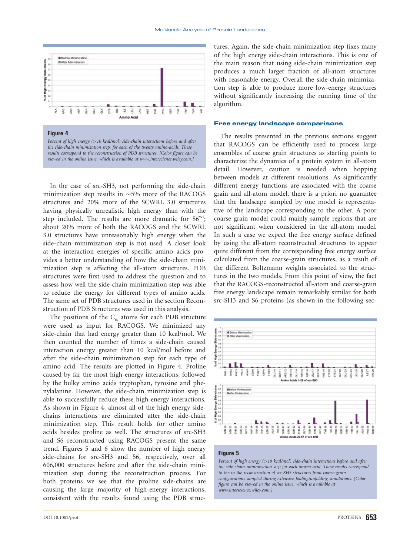

Figure 4 Percent of high energy (>10 kcal/mol) side-chain interactions before and after the side-chain minimization step, for each of the twenty amino-acids. These results correspond to the reconstruction of PDB structures. [Color figure can be viewed in the online issue, which is available at www.interscience.wiley.com.]

In the case of src-SH3, not performing the side-chain minimization step results in  $\sim$ 5% more of the RACOGS structures and 20% more of the SCWRL 3.0 structures having physically unrealistic high energy than with the step included. The results are more dramatic for  $S6<sup>wt</sup>$ ; about 20% more of both the RACOGS and the SCWRL 3.0 structures have unreasonably high energy when the side-chain minimization step is not used. A closer look at the interaction energies of specific amino acids provides a better understanding of how the side-chain minimization step is affecting the all-atom structures. PDB structures were first used to address the question and to assess how well the side-chain minimization step was able to reduce the energy for different types of amino acids. The same set of PDB structures used in the section Reconstruction of PDB Structures was used in this analysis.

The positions of the  $C_{\alpha}$  atoms for each PDB structure were used as input for RACOGS. We minimized any side-chain that had energy greater than 10 kcal/mol. We then counted the number of times a side-chain caused interaction energy greater than 10 kcal/mol before and after the side-chain minimization step for each type of amino acid. The results are plotted in Figure 4. Proline caused by far the most high-energy interactions, followed by the bulky amino acids tryptophan, tyrosine and phenylalanine. However, the side-chain minimization step is able to successfully reduce these high energy interactions. As shown in Figure 4, almost all of the high energy sidechains interactions are eliminated after the side-chain minimization step. This result holds for other amino acids besides proline as well. The structures of src-SH3 and S6 reconstructed using RACOGS present the same trend. Figures 5 and 6 show the number of high energy side-chains for src-SH3 and S6, respectively, over all 606,000 structures before and after the side-chain minimization step during the reconstruction process. For both proteins we see that the proline side-chains are causing the large majority of high-energy interactions, consistent with the results found using the PDB structures. Again, the side-chain minimization step fixes many of the high energy side-chain interactions. This is one of the main reason that using side-chain minimization step produces a much larger fraction of all-atom structures with reasonable energy. Overall the side-chain minimization step is able to produce more low-energy structures without significantly increasing the running time of the algorithm.

### Free energy landscape comparisons

The results presented in the previous sections suggest that RACOGS can be efficiently used to process large ensembles of coarse grain structures as starting points to characterize the dynamics of a protein system in all-atom detail. However, caution is needed when hopping between models at different resolutions. As significantly different energy functions are associated with the coarse grain and all-atom model, there is a priori no guarantee that the landscape sampled by one model is representative of the landscape corresponding to the other. A poor coarse grain model could mainly sample regions that are not significant when considered in the all-atom model. In such a case we expect the free energy surface defined by using the all-atom reconstructed structures to appear quite different from the corresponding free energy surface calculated from the coarse-grain structures, as a result of the different Boltzmann weights associated to the structures in the two models. From this point of view, the fact that the RACOGS-reconstructed all-atom and coarse-grain free energy landscape remain remarkably similar for both src-SH3 and S6 proteins (as shown in the following sec-



### **Figure 5**

**Percent of high energy (>10 kcal/mol) side-chain interactions before and after** the side-chain minimization step for each amino-acid. These results correspond to the in the reconstruction of src-SH3 structures from coarse-grain configurations sampled during extensive folding/unfolding simulations. [Color figure can be viewed in the online issue, which is available at www.interscience.wiley.com.]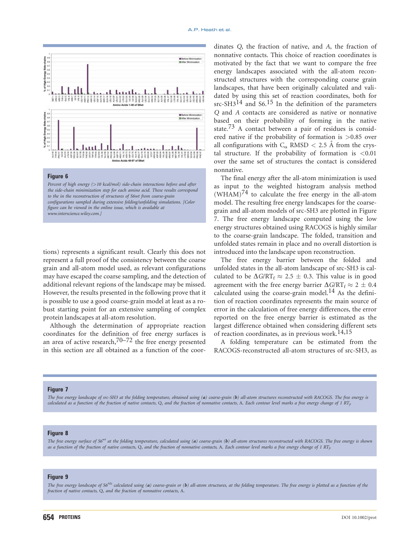

Figure 6 Percent of high energy (>10 kcal/mol) side-chain interactions before and after the side-chain minimization step for each amino acid. These results correspond to the in the reconstruction of structures of S6wt from coarse-grain configurations sampled during extensive folding/unfolding simulations. [Color figure can be viewed in the online issue, which is available at www.interscience.wiley.com.]

tions) represents a significant result. Clearly this does not represent a full proof of the consistency between the coarse grain and all-atom model used, as relevant configurations may have escaped the coarse sampling, and the detection of additional relevant regions of the landscape may be missed. However, the results presented in the following prove that it is possible to use a good coarse-grain model at least as a robust starting point for an extensive sampling of complex protein landscapes at all-atom resolution.

Although the determination of appropriate reaction coordinates for the definition of free energy surfaces is an area of active research, $70-72$  the free energy presented in this section are all obtained as a function of the coor-

dinates Q, the fraction of native, and A, the fraction of nonnative contacts. This choice of reaction coordinates is motivated by the fact that we want to compare the free energy landscapes associated with the all-atom reconstructed structures with the corresponding coarse grain landscapes, that have been originally calculated and validated by using this set of reaction coordinates, both for src-SH3<sup>14</sup> and S6.<sup>15</sup> In the definition of the parameters Q and A contacts are considered as native or nonnative based on their probability of forming in the native state.<sup>73</sup> A contact between a pair of residues is considered native if the probability of formation is >0.85 over all configurations with  $C_{\alpha}$  RMSD  $<$  2.5 Å from the crystal structure. If the probability of formation is <0.01 over the same set of structures the contact is considered nonnative.

The final energy after the all-atom minimization is used as input to the weighted histogram analysis method  $(WHAM)<sup>74</sup>$  to calculate the free energy in the all-atom model. The resulting free energy landscapes for the coarsegrain and all-atom models of src-SH3 are plotted in Figure 7. The free energy landscape computed using the low energy structures obtained using RACOGS is highly similar to the coarse-grain landscape. The folded, transition and unfolded states remain in place and no overall distortion is introduced into the landscape upon reconstruction.

The free energy barrier between the folded and unfolded states in the all-atom landscape of src-SH3 is calculated to be  $\Delta G/RT_f \approx 2.5 \pm 0.3$ . This value is in good agreement with the free energy barrier  $\Delta G/RT_f \approx 2 \pm 0.4$ calculated using the coarse-grain model.<sup>14</sup> As the definition of reaction coordinates represents the main source of error in the calculation of free energy differences, the error reported on the free energy barrier is estimated as the largest difference obtained when considering different sets of reaction coordinates, as in previous work.<sup>14,15</sup>

A folding temperature can be estimated from the RACOGS-reconstructed all-atom structures of src-SH3, as

Figure 7 The free energy landscape of src-SH3 at the folding temperature, obtained using (a) coarse-grain (b) all-atom structures reconstructed with RACOGS. The free energy is calculated as a function of the fraction of native contacts, Q, and the fraction of nonnative contacts, A. Each contour level marks a free energy change of 1 RT<sub>f</sub>.

The free energy surface of S6<sup>wt</sup> at the folding temperature, calculated using (**a**) coarse-grain (**b**) all-atom structures reconstructed with RACOGS. The free energy is shown as a function of the fraction of native contacts, Q, and the fraction of nonnative contacts, A. Each contour level marks a free energy change of 1 RT<sub>f</sub>.

regare energy landscape of S6<sup>Alz</sup> calculated using (**a**) coarse-grain or (**b**) all-atom structures, at the folding temperature. The free energy is plotted as a function of the fraction of native contacts, Q, and the fraction of nonnative contacts, A.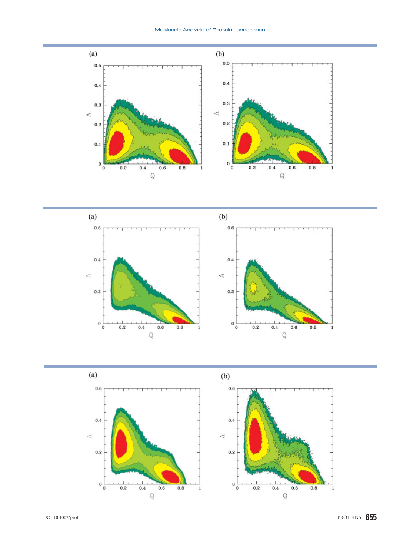



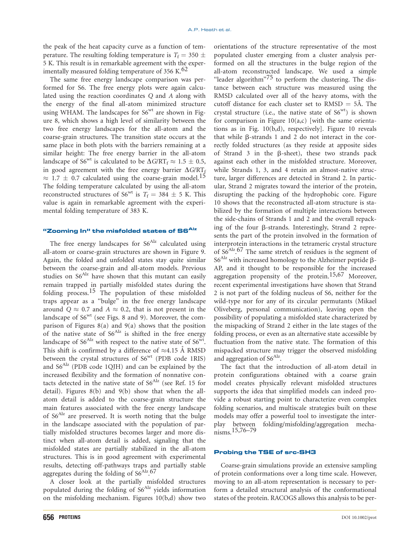the peak of the heat capacity curve as a function of temperature. The resulting folding temperature is  $T_f = 350 \pm 100$ 5 K. This result is in remarkable agreement with the experimentally measured folding temperature of 356 K. $62$ 

The same free energy landscape comparison was performed for S6. The free energy plots were again calculated using the reaction coordinates Q and A along with the energy of the final all-atom minimized structure using WHAM. The landscapes for S6<sup>wt</sup> are shown in Figure 8, which shows a high level of similarity between the two free energy landscapes for the all-atom and the coarse-grain structures. The transition state occurs at the same place in both plots with the barriers remaining at a similar height: The free energy barrier in the all-atom landscape of  $S6^{wt}$  is calculated to be  $\Delta G/RT_f \approx 1.5 \pm 0.5$ , in good agreement with the free energy barrier  $\Delta G/RT_f$  $\approx$  1.7  $\pm$  0.7 calculated using the coarse-grain model.<sup>15</sup> The folding temperature calculated by using the all-atom reconstructed structures of S6<sup>wt</sup> is  $T_f = 384 \pm 5$  K. This value is again in remarkable agreement with the experimental folding temperature of 383 K.

# "Zooming In" the misfolded states of S6<sup>Alz</sup>

The free energy landscapes for  $S6^{Alz}$  calculated using all-atom or coarse-grain structures are shown in Figure 9. Again, the folded and unfolded states stay quite similar between the coarse-grain and all-atom models. Previous studies on  $S6^{Alz}$  have shown that this mutant can easily remain trapped in partially misfolded states during the folding process.<sup>15</sup> The population of these misfolded traps appear as a ''bulge'' in the free energy landscape around  $Q \approx 0.7$  and  $A \approx 0.2$ , that is not present in the landscape of  $56<sup>wt</sup>$  (see Figs. 8 and 9). Moreover, the comparison of Figures  $8(a)$  and  $9(a)$  shows that the position of the native state of  $S6^{Alz}$  is shifted in the free energy landscape of  $S6^{Alz}$  with respect to the native state of  $S6^{wt}$ . This shift is confirmed by a difference of  $\approx$ 4.15 Å RMSD between the crystal structures of S6<sup>wt</sup> (PDB code 1RIS) and S6Alz (PDB code 1QJH) and can be explained by the increased flexibility and the formation of nonnative contacts detected in the native state of  $S6<sup>Alz</sup>$  (see Ref. 15 for detail). Figures 8(b) and 9(b) show that when the allatom detail is added to the coarse-grain structure the main features associated with the free energy landscape of  $S6<sup>Alz</sup>$  are preserved. It is worth noting that the bulge in the landscape associated with the population of partially misfolded structures becomes larger and more distinct when all-atom detail is added, signaling that the misfolded states are partially stabilized in the all-atom structures. This is in good agreement with experimental results, detecting off-pathways traps and partially stable aggregates during the folding of  $S6^{Alz}$ .67

A closer look at the partially misfolded structures populated during the folding of  $S6<sup>Alz</sup>$  yields information on the misfolding mechanism. Figures 10(b,d) show two orientations of the structure representative of the most populated cluster emerging from a cluster analysis performed on all the structures in the bulge region of the all-atom reconstructed landscape. We used a simple "leader algorithm"<sup>75</sup> to perform the clustering. The distance between each structure was measured using the RMSD calculated over all of the heavy atoms, with the cutoff distance for each cluster set to  $RMSD = 5\text{\AA}$ . The crystal structure (i.e., the native state of  $S6<sup>wt</sup>$ ) is shown for comparison in Figure  $10(a,c)$  [with the same orientations as in Fig. 10(b,d), respectively]. Figure 10 reveals that while b-strands 1 and 2 do not interact in the correctly folded structures (as they reside at apposite sides of Strand 3 in the  $\beta$ -sheet), these two strands pack against each other in the misfolded structure. Moreover, while Strands 1, 3, and 4 retain an almost-native structure, larger differences are detected in Strand 2. In particular, Strand 2 migrates toward the interior of the protein, disrupting the packing of the hydrophobic core. Figure 10 shows that the reconstructed all-atom structure is stabilized by the formation of multiple interactions between the side-chains of Strands 1 and 2 and the overall repacking of the four  $\beta$ -strands. Interestingly, Strand 2 represents the part of the protein involved in the formation of interprotein interactions in the tetrameric crystal structure of S6<sup>Alz</sup>.<sup>67</sup> The same stretch of residues is the segment of S6<sup>Alz</sup> with increased homology to the Alzheimer peptide β-AP, and it thought to be responsible for the increased aggregation propensity of the protein.15,67 Moreover, recent experimental investigations have shown that Strand 2 is not part of the folding nucleus of S6, neither for the wild-type nor for any of its circular permutants (Mikael Oliveberg, personal communication), leaving open the possibility of populating a misfolded state characterized by the mispacking of Strand 2 either in the late stages of the folding process, or even as an alternative state accessible by fluctuation from the native state. The formation of this mispacked structure may trigger the observed misfolding and aggregation of S6<sup>Alz</sup>.

The fact that the introduction of all-atom detail in protein configurations obtained with a coarse grain model creates physically relevant misfolded structures supports the idea that simplified models can indeed provide a robust starting point to characterize even complex folding scenarios, and multiscale strategies built on these models may offer a powerful tool to investigate the interplay between folding/misfolding/aggregation mecha $nisms.$ <sup>15,76–79</sup>

## Probing the TSE of src-SH3

Coarse-grain simulations provide an extensive sampling of protein conformations over a long time scale. However, moving to an all-atom representation is necessary to perform a detailed structural analysis of the conformational states of the protein. RACOGS allows this analysis to be per-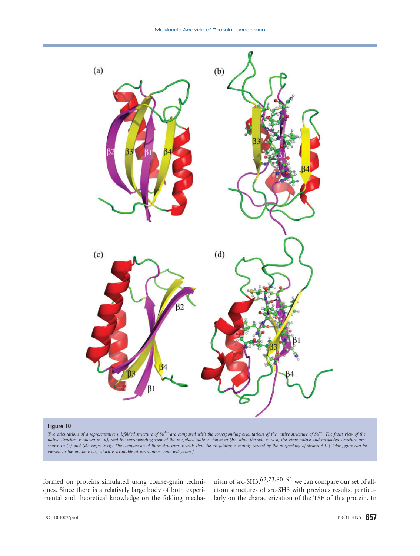

Two orientations of a representative misfolded structure of S6<sup>Alz</sup> are compared with the corresponding orientations of the native structure of S6<sup>wt</sup>. The front view of the native structure is shown in (a), and the corresponding view of the misfolded state is shown in (b), while the side view of the same native and misfolded structure are shown in (c) and (d), respectively. The comparison of these structures reveals that the misfolding is mainly caused by the mispacking of strand b2. [Color figure can be viewed in the online issue, which is available at www.interscience.wiley.com.]

formed on proteins simulated using coarse-grain techniques. Since there is a relatively large body of both experimental and theoretical knowledge on the folding mechanism of src-SH3,62,73,80–91 we can compare our set of allatom structures of src-SH3 with previous results, particularly on the characterization of the TSE of this protein. In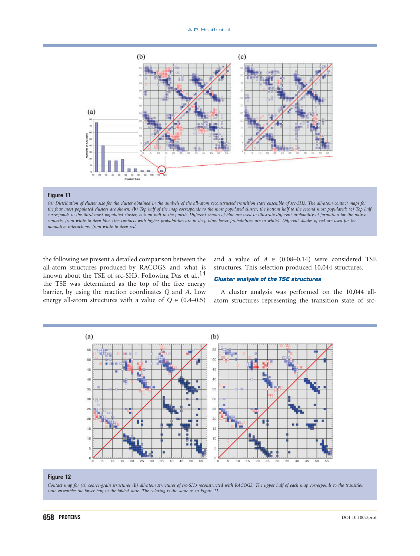

Figure 11 (a) Distribution of cluster size for the cluster obtained in the analysis of the all-atom reconstructed transition state ensemble of src-SH3. The all-atom contact maps for the four most populated clusters are shown: (b) Top half of the map corresponds to the most populated cluster, the bottom half to the second most populated; (c) Top half corresponds to the third most populated cluster, bottom half to the fourth. Different shades of blue are used to illustrate different probability of formation for the native contacts, from white to deep blue (the contacts with higher probabilities are in deep blue, lower probabilities are in white). Different shades of red are used for the nonnative interactions, from white to deep red.

the following we present a detailed comparison between the all-atom structures produced by RACOGS and what is known about the TSE of src-SH3. Following Das et al.,  $^{14}$ the TSE was determined as the top of the free energy barrier, by using the reaction coordinates Q and A. Low energy all-atom structures with a value of  $Q \in (0.4–0.5)$ 

and a value of  $A \in (0.08–0.14)$  were considered TSE structures. This selection produced 10,044 structures.

## Cluster analysis of the TSE structures

A cluster analysis was performed on the 10,044 allatom structures representing the transition state of src-



Figure 12 Contact map for (a) coarse-grain structures (b) all-atom structures of src-SH3 reconstructed with RACOGS. The upper half of each map corresponds to the transition state ensemble; the lower half to the folded state. The coloring is the same as in Figure 11.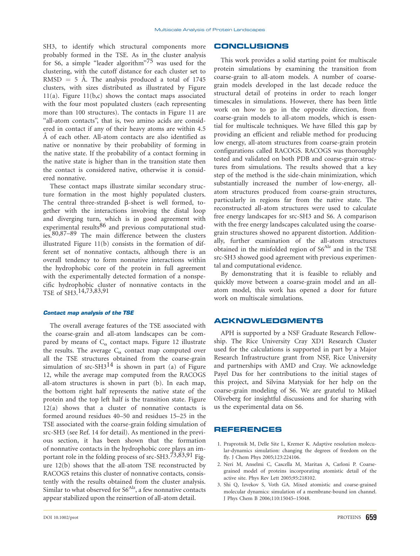SH3, to identify which structural components more probably formed in the TSE. As in the cluster analysis for S6, a simple "leader algorithm"<sup>75</sup> was used for the clustering, with the cutoff distance for each cluster set to  $RMSD = 5$  Å. The analysis produced a total of 1745 clusters, with sizes distributed as illustrated by Figure  $11(a)$ . Figure  $11(b,c)$  shows the contact maps associated with the four most populated clusters (each representing more than 100 structures). The contacts in Figure 11 are "all-atom contacts", that is, two amino acids are considered in contact if any of their heavy atoms are within 4.5 A˚ of each other. All-atom contacts are also identified as native or nonnative by their probability of forming in the native state. If the probability of a contact forming in the native state is higher than in the transition state then the contact is considered native, otherwise it is considered nonnative.

These contact maps illustrate similar secondary structure formation in the most highly populated clusters. The central three-stranded  $\beta$ -sheet is well formed, together with the interactions involving the distal loop and diverging turn, which is in good agreement with experimental results<sup>86</sup> and previous computational studies.80,87–89 The main difference between the clusters illustrated Figure 11(b) consists in the formation of different set of nonnative contacts, although there is an overall tendency to form nonnative interactions within the hydrophobic core of the protein in full agreement with the experimentally detected formation of a nonspecific hydrophobic cluster of nonnative contacts in the TSE of SH3.14,73,83,91

#### Contact map analysis of the TSE

The overall average features of the TSE associated with the coarse-grain and all-atom landscapes can be compared by means of  $C_{\alpha}$  contact maps. Figure 12 illustrate the results. The average  $C_{\alpha}$  contact map computed over all the TSE structures obtained from the coarse-grain simulation of  $src-SH3<sup>14</sup>$  is shown in part (a) of Figure 12, while the average map computed from the RACOGS all-atom structures is shown in part (b). In each map, the bottom right half represents the native state of the protein and the top left half is the transition state. Figure 12(a) shows that a cluster of nonnative contacts is formed around residues 40–50 and residues 15–25 in the TSE associated with the coarse-grain folding simulation of src-SH3 (see Ref. 14 for detail). As mentioned in the previous section, it has been shown that the formation of nonnative contacts in the hydrophobic core plays an important role in the folding process of src-SH3.<sup>73,83,91</sup> Figure 12(b) shows that the all-atom TSE reconstructed by RACOGS retains this cluster of nonnative contacts, consistently with the results obtained from the cluster analysis. Similar to what observed for S6<sup>Alz</sup>, a few nonnative contacts appear stabilized upon the reinsertion of all-atom detail.

# CONCLUSIONS

This work provides a solid starting point for multiscale protein simulations by examining the transition from coarse-grain to all-atom models. A number of coarsegrain models developed in the last decade reduce the structural detail of proteins in order to reach longer timescales in simulations. However, there has been little work on how to go in the opposite direction, from coarse-grain models to all-atom models, which is essential for multiscale techniques. We have filled this gap by providing an efficient and reliable method for producing low energy, all-atom structures from coarse-grain protein configurations called RACOGS. RACOGS was thoroughly tested and validated on both PDB and coarse-grain structures from simulations. The results showed that a key step of the method is the side-chain minimization, which substantially increased the number of low-energy, allatom structures produced from coarse-grain structures, particularly in regions far from the native state. The reconstructed all-atom structures were used to calculate free energy landscapes for src-SH3 and S6. A comparison with the free energy landscapes calculated using the coarsegrain structures showed no apparent distortion. Additionally, further examination of the all-atom structures obtained in the misfolded region of  $S6<sup>Alz</sup>$  and in the TSE src-SH3 showed good agreement with previous experimental and computational evidence.

By demonstrating that it is feasible to reliably and quickly move between a coarse-grain model and an allatom model, this work has opened a door for future work on multiscale simulations.

# ACKNOWLEDGMENTS

APH is supported by a NSF Graduate Research Fellowship. The Rice University Cray XD1 Research Cluster used for the calculations is supported in part by a Major Research Infrastructure grant from NSF, Rice University and partnerships with AMD and Cray. We acknowledge Payel Das for her contributions to the initial stages of this project, and Silvina Matysiak for her help on the coarse-grain modeling of S6. We are grateful to Mikael Oliveberg for insightful discussions and for sharing with us the experimental data on S6.

# REFERENCES

- 1. Praprotnik M, Delle Site L, Kremer K. Adaptive resolution molecular-dynamics simulation: changing the degrees of freedom on the fly. J Chem Phys 2005;123:224106.
- 2. Neri M, Anselmi C, Cascella M, Maritan A, Carloni P. Coarsegrained model of proteins incorporating atomistic detail of the active site. Phys Rev Lett 2005;95:218102.
- 3. Shi Q, Izvekov S, Voth GA. Mixed atomistic and coarse-grained molecular dynamics: simulation of a membrane-bound ion channel. J Phys Chem B 2006;110:15045–15048.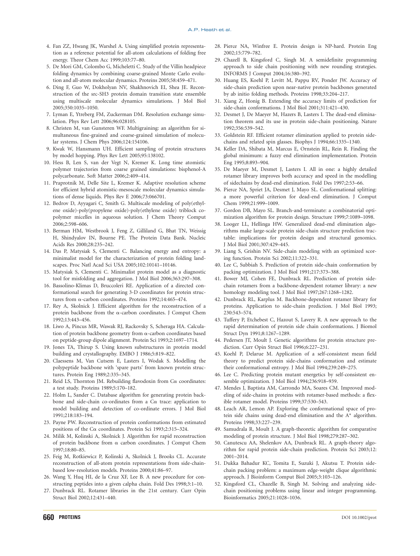- 4. Fan ZZ, Hwang JK, Warshel A. Using simplified protein representation as a reference potential for all-atom calculations of folding free energy. Theor Chem Acc 1999;103:77–80.
- 5. De Mori GM, Colombo G, Micheletti C. Study of the Villin headpiece folding dynamics by combining coarse-grained Monte Carlo evolution and all-atom molecular dynamics. Proteins 2005;58:459–471.
- 6. Ding F, Guo W, Dokholyan NV, Shakhnovich EI, Shea JE. Reconstruction of the src-SH3 protein domain transition state ensemble using multiscale molecular dynamics simulations. J Mol Biol 2005;350:1035–1050.
- 7. Lyman E, Ytreberg FM, Zuckerman DM. Resolution exchange simulation. Phys Rev Lett 2006;96:028105.
- 8. Christen M, van Gunsteren WF. Multigraining: an algorithm for simultaneous fine-grained and coarse-grained simulation of molecular systems. J Chem Phys 2006;124:154106.
- 9. Kwak W, Hansmann UH. Efficient sampling of protein structures by model hopping. Phys Rev Lett 2005;95:138102.
- 10. Hess B, Len S, van der Vegt N, Kremer K. Long time atomistic polymer trajectories from coarse grained simulations: bisphenol-A polycarbonate. Soft Matter 2006;2:409–414.
- 11. Praprotnik M, Delle Site L, Kremer K. Adaptive resolution scheme for efficient hybrid atomistic-mesoscale molecular dynamics simulations of dense liquids. Phys Rev E 2006;73:066701.
- 12. Bedrov D, Ayyagari C, Smith G. Multiscale modeling of poly(ethylene oxide)-poly(propylene oxide)-poly(ethylene oxide) triblock copolymer micelles in aqueous solution. J Chem Theory Comput 2006;2:598–606.
- 13. Berman HM, Westbrook J, Feng Z, Gilliland G, Bhat TN, Weissig H, Shindyalov IN, Bourne PE. The Protein Data Bank. Nucleic Acids Res 2000;28:235–242.
- 14. Das P, Matysiak S, Clementi C. Balancing energy and entropy: a minimalist model for the characterization of protein folding landscapes. Proc Natl Acad Sci USA 2005;102:10141–10146.
- 15. Matysiak S, Clementi C. Minimalist protein model as a diagnostic tool for misfolding and aggregation. J Mol Biol 2006;363:297–308.
- 16. Bassolino-Klimas D, Bruccoleri RE. Application of a directed conformational search for generating 3-D coordinates for protein structures from a-carbon coordinates. Proteins 1992;14:465–474.
- 17. Rey A, Skolnick J. Efficient algorithm for the reconstruction of a protein backbone from the  $\alpha$ -carbon coordinates. J Comput Chem 1992;13:443–456.
- 18. Liwo A, Pincus MR, Wawak RJ, Rackovsky S, Scheraga HA. Calculation of protein backbone geometry from a-carbon coordinates based on peptide-group dipole alignment. Protein Sci 1993;2:1697–1714.
- 19. Jones TA, Thirup S. Using known substructures in protein model building and crystallography. EMBO J 1986;5:819–822.
- 20. Claessens M, Van Cutsem E, Lasters I, Wodak S. Modelling the polypeptide backbone with 'spare parts' from known protein structures. Protein Eng 1989;2:335–345.
- 21. Reid LS, Thornton JM. Rebuilding flavodoxin from  $C\alpha$  coordinates: a test study. Proteins 1989;5:170–182.
- 22. Holm L, Sander C. Database algorithm for generating protein backbone and side-chain co-ordinates from a Ca trace: application to model building and detection of co-ordinate errors. J Mol Biol 1991;218:183–194.
- 23. Payne PW. Reconstruction of protein conformations from estimated positions of the Ca coordinates. Protein Sci 1993;2:315–324.
- 24. Milik M, Kolinski A, Skolnick J. Algorithm for rapid reconstruction of protein backbone from  $\alpha$  carbon coordinates. J Comput Chem 1997;18:80–85.
- 25. Feig M, Rotkiewicz P, Kolinski A, Skolnick J, Brooks CL. Accurate reconstruction of all-atom protein representations from side-chainbased low-resolution models. Proteins 2000;41:86–97.
- 26. Wang Y, Huq HI, de la Cruz XF, Lee B. A new procedure for constructing peptides into a given calpha chain. Fold Des 1998;3:1–10.
- 27. Dunbrack RL. Rotamer libraries in the 21st century. Curr Opin Struct Biol 2002;12:431–440.
- 28. Pierce NA, Winfree E. Protein design is NP-hard. Protein Eng 2002;15:779–782.
- 29. Chazell B, Kingsford C, Singh M. A semidefinite programming approach to side chain positioning with new rounding strategies. INFORMS J Comput 2004;16:380–392.
- 30. Huang ES, Koehl P, Levitt M, Pappu RV, Ponder JW. Accuracy of side-chain prediction upon near-native protein backbones generated by ab initio folding methods. Proteins 1998;33:204–217.
- 31. Xiang Z, Honig B. Extending the accuracy limits of prediction for side-chain conformations. J Mol Biol 2001;311:421–430.
- 32. Desmet J, De Maeyer M, Hazers B, Lasters I. The dead-end elimination theorem and its use in protein side-chain positioning. Nature 1992;356:539–542.
- 33. Goldstein RF. Efficient rotamer elimination applied to protein sidechains and related spin glasses. Biophys J 1994;66:1335–1340.
- 34. Keller DA, Shibata M, Marcus E, Ornstein RL, Rein R. Finding the global minimum: a fuzzy end elimination implementation. Protein Eng 1995;8:893–904.
- 35. De Maeyer M, Desmet J, Lasters I. All in one: a highly detailed rotamer library improves both accuracy and speed in the modelling of sidechains by dead-end elimination. Fold Des 1997;2:53–66.
- 36. Pierce NA, Spriet JA, Desmet J, Mayo SL. Conformational splitting: a more powerful criterion for dead-end elimination. J Comput Chem 1999;21:999–1009.
- 37. Gordon DB, Mayo SL. Branch-and-terminate: a combinatorial optimization algorithm for protein design. Structure 1999;7:1089–1098.
- 38. Looger LL, Hellinga HW. Generalized dead-end elimination algorithms make large-scale protein side-chain structure prediction tractable: implications for protein design and structural genomics. J Mol Biol 2001;307:429–445.
- 39. Liang S, Grishin NV. Side-chain modeling with an optimized scoring function. Protein Sci 2002;11:322–331.
- 40. Lee C, Subbiah S. Prediction of protein side-chain conformation by packing optimization. J Mol Biol 1991;217:373–388.
- 41. Bower MJ, Cohen FE, Dunbrack RL. Prediction of protein sidechain rotamers from a backbone-dependent rotamer library: a new homology modeling tool. J Mol Biol 1997;267:1268–1282.
- 42. Dunbrack RL, Karplus M. Backbone-dependent rotamer library for proteins. Application to side-chain prediction. J Mol Biol 1993; 230:543–574.
- 43. Tuffery P, Etchebest C, Hazout S, Lavery R. A new approach to the rapid determination of protein side chain conformations. J Biomol Struct Dyn 1991;8:1267–1289.
- 44. Pedersen JT, Moult J. Genetic algorithms for protein structure prediction. Curr Opin Struct Biol 1996;6:227–231.
- 45. Koehl P, Delarue M. Application of a self-consistent mean field theory to predict protein side-chains conformation and estimate their conformational entropy. J Mol Biol 1994;239:249–275.
- 46. Lee C. Predicting protein mutant energetics by self-consistent ensemble optimization. J Mol Biol 1994;236:918–939.
- 47. Mendes J, Baptista AM, Carrondo MA, Soares CM. Improved modeling of side-chains in proteins with rotamer-based methods: a flexible rotamer model. Proteins 1999;37:530–543.
- 48. Leach AR, Lemon AP. Exploring the conformational space of protein side chains using dead-end elimination and the A\* algorithm. Proteins 1998;33:227–239.
- 49. Samudrala R, Moult J. A graph-theoretic algorithm for comparative modeling of protein structure. J Mol Biol 1998;279:287–302.
- 50. Canutescu AA, Shelenkov AA, Dunbrack RL. A graph-theory algorithm for rapid protein side-chain prediction. Protein Sci 2003;12: 2001–2014.
- 51. Dukka Bahadur KC, Tomita E, Suzuki J, Akutsu T. Protein sidechain packing problem: a maximum edge-weight clique algorithmic approach. J Bioinform Comput Biol 2005;3:103–126.
- 52. Kingsford CL, Chazelle B, Singh M. Solving and analyzing sidechain positioning problems using linear and integer programming. Bioinformatics 2005;21:1028–1036.